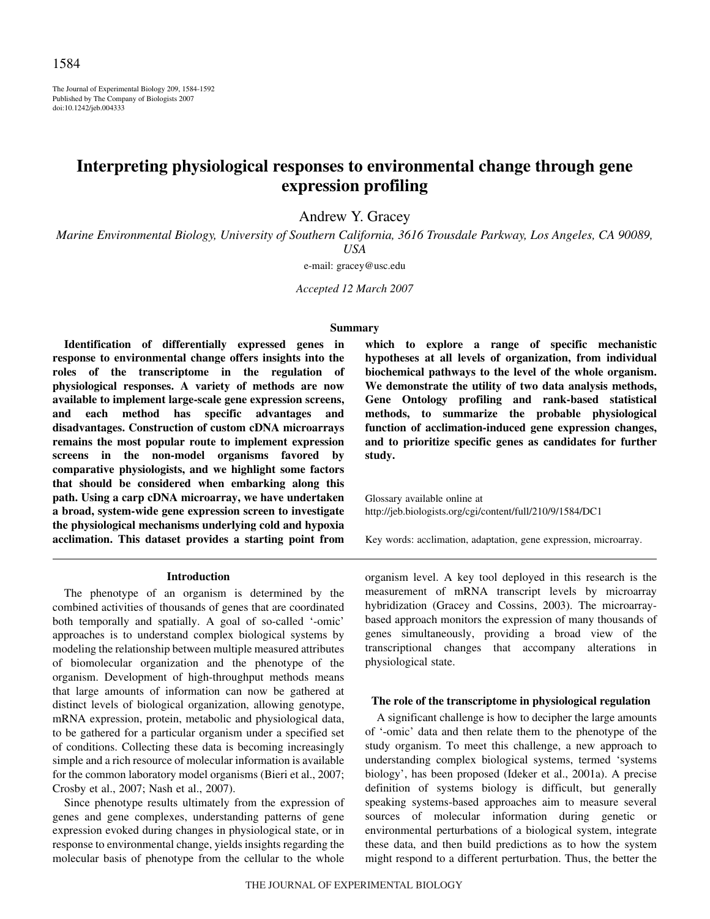The Journal of Experimental Biology 209, 1584-1592 Published by The Company of Biologists 2007 doi:10.1242/jeb.004333

# **Interpreting physiological responses to environmental change through gene expression profiling**

Andrew Y. Gracey

*Marine Environmental Biology, University of Southern California, 3616 Trousdale Parkway, Los Angeles, CA 90089, USA*

e-mail: gracey@usc.edu

*Accepted 12 March 2007*

## **Summary**

**Identification of differentially expressed genes in response to environmental change offers insights into the roles of the transcriptome in the regulation of physiological responses. A variety of methods are now available to implement large-scale gene expression screens, and each method has specific advantages and disadvantages. Construction of custom cDNA microarrays remains the most popular route to implement expression screens in the non-model organisms favored by comparative physiologists, and we highlight some factors that should be considered when embarking along this path. Using a carp cDNA microarray, we have undertaken a broad, system-wide gene expression screen to investigate the physiological mechanisms underlying cold and hypoxia acclimation. This dataset provides a starting point from**

#### **Introduction**

The phenotype of an organism is determined by the combined activities of thousands of genes that are coordinated both temporally and spatially. A goal of so-called '-omic' approaches is to understand complex biological systems by modeling the relationship between multiple measured attributes of biomolecular organization and the phenotype of the organism. Development of high-throughput methods means that large amounts of information can now be gathered at distinct levels of biological organization, allowing genotype, mRNA expression, protein, metabolic and physiological data, to be gathered for a particular organism under a specified set of conditions. Collecting these data is becoming increasingly simple and a rich resource of molecular information is available for the common laboratory model organisms (Bieri et al., 2007; Crosby et al., 2007; Nash et al., 2007).

Since phenotype results ultimately from the expression of genes and gene complexes, understanding patterns of gene expression evoked during changes in physiological state, or in response to environmental change, yields insights regarding the molecular basis of phenotype from the cellular to the whole

**which to explore a range of specific mechanistic hypotheses at all levels of organization, from individual biochemical pathways to the level of the whole organism. We demonstrate the utility of two data analysis methods, Gene Ontology profiling and rank-based statistical methods, to summarize the probable physiological function of acclimation-induced gene expression changes, and to prioritize specific genes as candidates for further study.**

Glossary available online at http://jeb.biologists.org/cgi/content/full/210/9/1584/DC1

Key words: acclimation, adaptation, gene expression, microarray.

organism level. A key tool deployed in this research is the measurement of mRNA transcript levels by microarray hybridization (Gracey and Cossins, 2003). The microarraybased approach monitors the expression of many thousands of genes simultaneously, providing a broad view of the transcriptional changes that accompany alterations in physiological state.

#### **The role of the transcriptome in physiological regulation**

A significant challenge is how to decipher the large amounts of '-omic' data and then relate them to the phenotype of the study organism. To meet this challenge, a new approach to understanding complex biological systems, termed 'systems biology', has been proposed (Ideker et al., 2001a). A precise definition of systems biology is difficult, but generally speaking systems-based approaches aim to measure several sources of molecular information during genetic or environmental perturbations of a biological system, integrate these data, and then build predictions as to how the system might respond to a different perturbation. Thus, the better the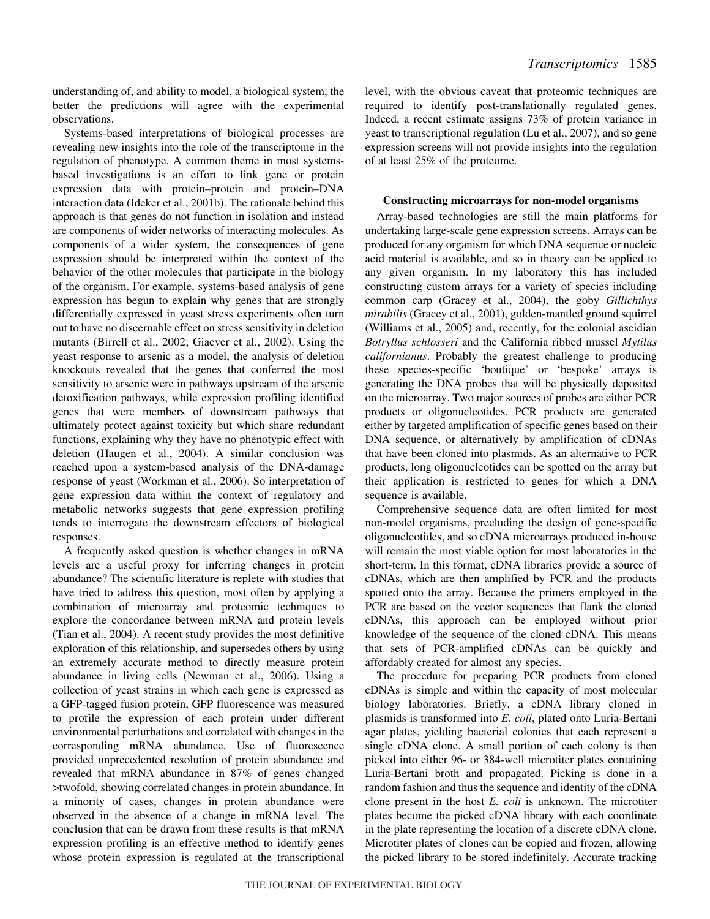understanding of, and ability to model, a biological system, the better the predictions will agree with the experimental observations.

Systems-based interpretations of biological processes are revealing new insights into the role of the transcriptome in the regulation of phenotype. A common theme in most systemsbased investigations is an effort to link gene or protein expression data with protein–protein and protein–DNA interaction data (Ideker et al., 2001b). The rationale behind this approach is that genes do not function in isolation and instead are components of wider networks of interacting molecules. As components of a wider system, the consequences of gene expression should be interpreted within the context of the behavior of the other molecules that participate in the biology of the organism. For example, systems-based analysis of gene expression has begun to explain why genes that are strongly differentially expressed in yeast stress experiments often turn out to have no discernable effect on stress sensitivity in deletion mutants (Birrell et al., 2002; Giaever et al., 2002). Using the yeast response to arsenic as a model, the analysis of deletion knockouts revealed that the genes that conferred the most sensitivity to arsenic were in pathways upstream of the arsenic detoxification pathways, while expression profiling identified genes that were members of downstream pathways that ultimately protect against toxicity but which share redundant functions, explaining why they have no phenotypic effect with deletion (Haugen et al., 2004). A similar conclusion was reached upon a system-based analysis of the DNA-damage response of yeast (Workman et al., 2006). So interpretation of gene expression data within the context of regulatory and metabolic networks suggests that gene expression profiling tends to interrogate the downstream effectors of biological responses.

A frequently asked question is whether changes in mRNA levels are a useful proxy for inferring changes in protein abundance? The scientific literature is replete with studies that have tried to address this question, most often by applying a combination of microarray and proteomic techniques to explore the concordance between mRNA and protein levels (Tian et al., 2004). A recent study provides the most definitive exploration of this relationship, and supersedes others by using an extremely accurate method to directly measure protein abundance in living cells (Newman et al., 2006). Using a collection of yeast strains in which each gene is expressed as a GFP-tagged fusion protein, GFP fluorescence was measured to profile the expression of each protein under different environmental perturbations and correlated with changes in the corresponding mRNA abundance. Use of fluorescence provided unprecedented resolution of protein abundance and revealed that mRNA abundance in 87% of genes changed >twofold, showing correlated changes in protein abundance. In a minority of cases, changes in protein abundance were observed in the absence of a change in mRNA level. The conclusion that can be drawn from these results is that mRNA expression profiling is an effective method to identify genes whose protein expression is regulated at the transcriptional

level, with the obvious caveat that proteomic techniques are required to identify post-translationally regulated genes. Indeed, a recent estimate assigns 73% of protein variance in yeast to transcriptional regulation (Lu et al., 2007), and so gene expression screens will not provide insights into the regulation of at least 25% of the proteome.

## **Constructing microarrays for non-model organisms**

Array-based technologies are still the main platforms for undertaking large-scale gene expression screens. Arrays can be produced for any organism for which DNA sequence or nucleic acid material is available, and so in theory can be applied to any given organism. In my laboratory this has included constructing custom arrays for a variety of species including common carp (Gracey et al., 2004), the goby *Gillichthys mirabilis* (Gracey et al., 2001), golden-mantled ground squirrel (Williams et al., 2005) and, recently, for the colonial ascidian *Botryllus schlosseri* and the California ribbed mussel *Mytilus californianus*. Probably the greatest challenge to producing these species-specific 'boutique' or 'bespoke' arrays is generating the DNA probes that will be physically deposited on the microarray. Two major sources of probes are either PCR products or oligonucleotides. PCR products are generated either by targeted amplification of specific genes based on their DNA sequence, or alternatively by amplification of cDNAs that have been cloned into plasmids. As an alternative to PCR products, long oligonucleotides can be spotted on the array but their application is restricted to genes for which a DNA sequence is available.

Comprehensive sequence data are often limited for most non-model organisms, precluding the design of gene-specific oligonucleotides, and so cDNA microarrays produced in-house will remain the most viable option for most laboratories in the short-term. In this format, cDNA libraries provide a source of cDNAs, which are then amplified by PCR and the products spotted onto the array. Because the primers employed in the PCR are based on the vector sequences that flank the cloned cDNAs, this approach can be employed without prior knowledge of the sequence of the cloned cDNA. This means that sets of PCR-amplified cDNAs can be quickly and affordably created for almost any species.

The procedure for preparing PCR products from cloned cDNAs is simple and within the capacity of most molecular biology laboratories. Briefly, a cDNA library cloned in plasmids is transformed into *E. coli*, plated onto Luria-Bertani agar plates, yielding bacterial colonies that each represent a single cDNA clone. A small portion of each colony is then picked into either 96- or 384-well microtiter plates containing Luria-Bertani broth and propagated. Picking is done in a random fashion and thus the sequence and identity of the cDNA clone present in the host *E. coli* is unknown. The microtiter plates become the picked cDNA library with each coordinate in the plate representing the location of a discrete cDNA clone. Microtiter plates of clones can be copied and frozen, allowing the picked library to be stored indefinitely. Accurate tracking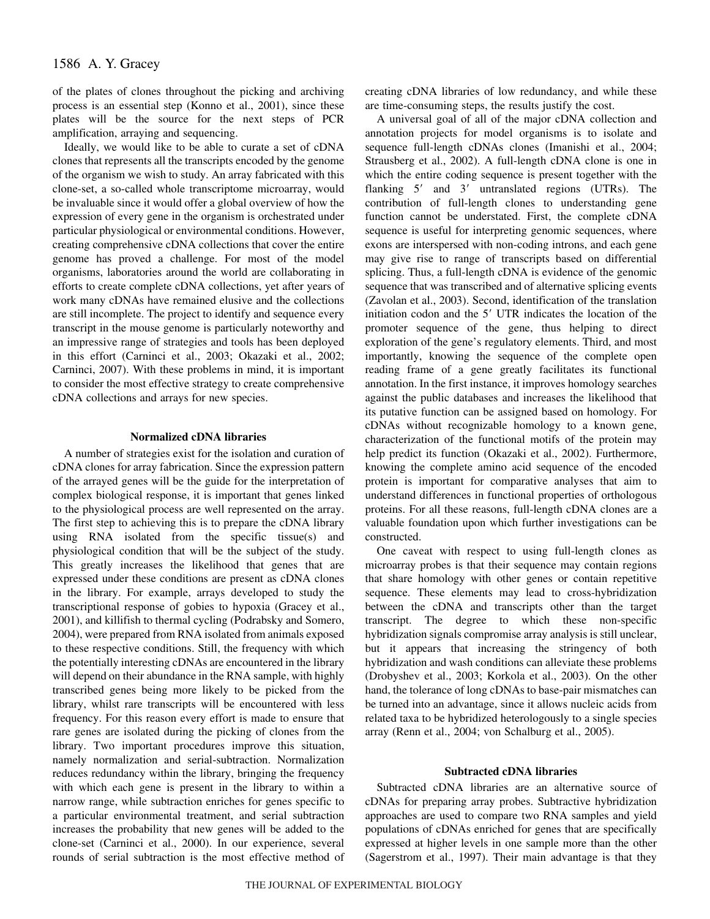of the plates of clones throughout the picking and archiving process is an essential step (Konno et al., 2001), since these plates will be the source for the next steps of PCR amplification, arraying and sequencing.

Ideally, we would like to be able to curate a set of cDNA clones that represents all the transcripts encoded by the genome of the organism we wish to study. An array fabricated with this clone-set, a so-called whole transcriptome microarray, would be invaluable since it would offer a global overview of how the expression of every gene in the organism is orchestrated under particular physiological or environmental conditions. However, creating comprehensive cDNA collections that cover the entire genome has proved a challenge. For most of the model organisms, laboratories around the world are collaborating in efforts to create complete cDNA collections, yet after years of work many cDNAs have remained elusive and the collections are still incomplete. The project to identify and sequence every transcript in the mouse genome is particularly noteworthy and an impressive range of strategies and tools has been deployed in this effort (Carninci et al., 2003; Okazaki et al., 2002; Carninci, 2007). With these problems in mind, it is important to consider the most effective strategy to create comprehensive cDNA collections and arrays for new species.

#### **Normalized cDNA libraries**

A number of strategies exist for the isolation and curation of cDNA clones for array fabrication. Since the expression pattern of the arrayed genes will be the guide for the interpretation of complex biological response, it is important that genes linked to the physiological process are well represented on the array. The first step to achieving this is to prepare the cDNA library using RNA isolated from the specific tissue(s) and physiological condition that will be the subject of the study. This greatly increases the likelihood that genes that are expressed under these conditions are present as cDNA clones in the library. For example, arrays developed to study the transcriptional response of gobies to hypoxia (Gracey et al., 2001), and killifish to thermal cycling (Podrabsky and Somero, 2004), were prepared from RNA isolated from animals exposed to these respective conditions. Still, the frequency with which the potentially interesting cDNAs are encountered in the library will depend on their abundance in the RNA sample, with highly transcribed genes being more likely to be picked from the library, whilst rare transcripts will be encountered with less frequency. For this reason every effort is made to ensure that rare genes are isolated during the picking of clones from the library. Two important procedures improve this situation, namely normalization and serial-subtraction. Normalization reduces redundancy within the library, bringing the frequency with which each gene is present in the library to within a narrow range, while subtraction enriches for genes specific to a particular environmental treatment, and serial subtraction increases the probability that new genes will be added to the clone-set (Carninci et al., 2000). In our experience, several rounds of serial subtraction is the most effective method of

creating cDNA libraries of low redundancy, and while these are time-consuming steps, the results justify the cost.

A universal goal of all of the major cDNA collection and annotation projects for model organisms is to isolate and sequence full-length cDNAs clones (Imanishi et al., 2004; Strausberg et al., 2002). A full-length cDNA clone is one in which the entire coding sequence is present together with the flanking 5' and 3' untranslated regions (UTRs). The contribution of full-length clones to understanding gene function cannot be understated. First, the complete cDNA sequence is useful for interpreting genomic sequences, where exons are interspersed with non-coding introns, and each gene may give rise to range of transcripts based on differential splicing. Thus, a full-length cDNA is evidence of the genomic sequence that was transcribed and of alternative splicing events (Zavolan et al., 2003). Second, identification of the translation initiation codon and the 5' UTR indicates the location of the promoter sequence of the gene, thus helping to direct exploration of the gene's regulatory elements. Third, and most importantly, knowing the sequence of the complete open reading frame of a gene greatly facilitates its functional annotation. In the first instance, it improves homology searches against the public databases and increases the likelihood that its putative function can be assigned based on homology. For cDNAs without recognizable homology to a known gene, characterization of the functional motifs of the protein may help predict its function (Okazaki et al., 2002). Furthermore, knowing the complete amino acid sequence of the encoded protein is important for comparative analyses that aim to understand differences in functional properties of orthologous proteins. For all these reasons, full-length cDNA clones are a valuable foundation upon which further investigations can be constructed.

One caveat with respect to using full-length clones as microarray probes is that their sequence may contain regions that share homology with other genes or contain repetitive sequence. These elements may lead to cross-hybridization between the cDNA and transcripts other than the target transcript. The degree to which these non-specific hybridization signals compromise array analysis is still unclear, but it appears that increasing the stringency of both hybridization and wash conditions can alleviate these problems (Drobyshev et al., 2003; Korkola et al., 2003). On the other hand, the tolerance of long cDNAs to base-pair mismatches can be turned into an advantage, since it allows nucleic acids from related taxa to be hybridized heterologously to a single species array (Renn et al., 2004; von Schalburg et al., 2005).

### **Subtracted cDNA libraries**

Subtracted cDNA libraries are an alternative source of cDNAs for preparing array probes. Subtractive hybridization approaches are used to compare two RNA samples and yield populations of cDNAs enriched for genes that are specifically expressed at higher levels in one sample more than the other (Sagerstrom et al., 1997). Their main advantage is that they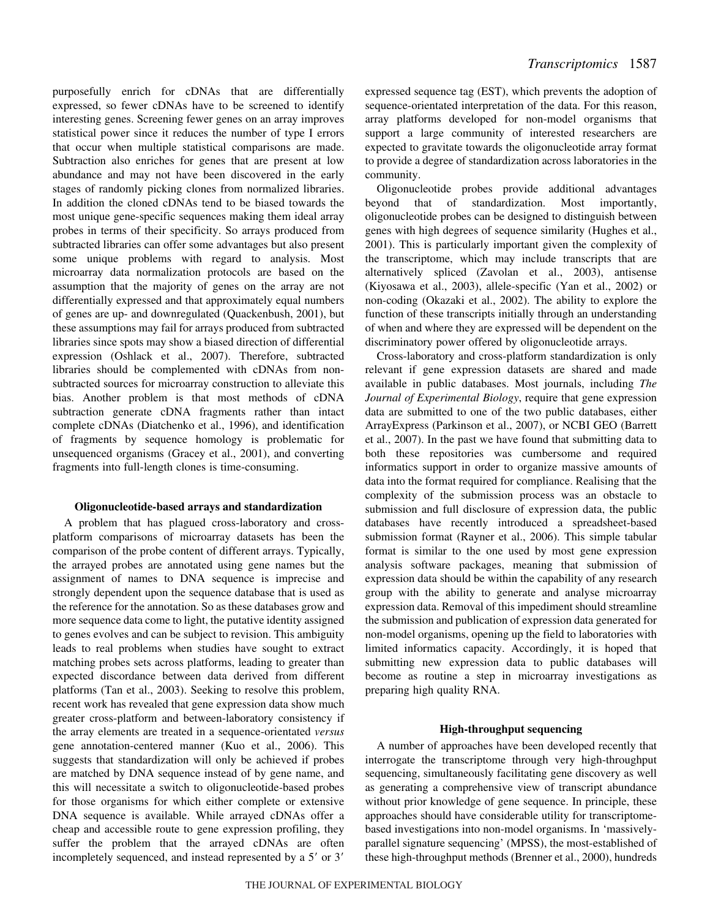purposefully enrich for cDNAs that are differentially expressed, so fewer cDNAs have to be screened to identify interesting genes. Screening fewer genes on an array improves statistical power since it reduces the number of type I errors that occur when multiple statistical comparisons are made. Subtraction also enriches for genes that are present at low abundance and may not have been discovered in the early stages of randomly picking clones from normalized libraries. In addition the cloned cDNAs tend to be biased towards the most unique gene-specific sequences making them ideal array probes in terms of their specificity. So arrays produced from subtracted libraries can offer some advantages but also present some unique problems with regard to analysis. Most microarray data normalization protocols are based on the assumption that the majority of genes on the array are not differentially expressed and that approximately equal numbers of genes are up- and downregulated (Quackenbush, 2001), but these assumptions may fail for arrays produced from subtracted libraries since spots may show a biased direction of differential expression (Oshlack et al., 2007). Therefore, subtracted libraries should be complemented with cDNAs from nonsubtracted sources for microarray construction to alleviate this bias. Another problem is that most methods of cDNA subtraction generate cDNA fragments rather than intact complete cDNAs (Diatchenko et al., 1996), and identification of fragments by sequence homology is problematic for unsequenced organisms (Gracey et al., 2001), and converting fragments into full-length clones is time-consuming.

#### **Oligonucleotide-based arrays and standardization**

A problem that has plagued cross-laboratory and crossplatform comparisons of microarray datasets has been the comparison of the probe content of different arrays. Typically, the arrayed probes are annotated using gene names but the assignment of names to DNA sequence is imprecise and strongly dependent upon the sequence database that is used as the reference for the annotation. So as these databases grow and more sequence data come to light, the putative identity assigned to genes evolves and can be subject to revision. This ambiguity leads to real problems when studies have sought to extract matching probes sets across platforms, leading to greater than expected discordance between data derived from different platforms (Tan et al., 2003). Seeking to resolve this problem, recent work has revealed that gene expression data show much greater cross-platform and between-laboratory consistency if the array elements are treated in a sequence-orientated *versus* gene annotation-centered manner (Kuo et al., 2006). This suggests that standardization will only be achieved if probes are matched by DNA sequence instead of by gene name, and this will necessitate a switch to oligonucleotide-based probes for those organisms for which either complete or extensive DNA sequence is available. While arrayed cDNAs offer a cheap and accessible route to gene expression profiling, they suffer the problem that the arrayed cDNAs are often incompletely sequenced, and instead represented by a 5' or 3'

expressed sequence tag (EST), which prevents the adoption of sequence-orientated interpretation of the data. For this reason, array platforms developed for non-model organisms that support a large community of interested researchers are expected to gravitate towards the oligonucleotide array format to provide a degree of standardization across laboratories in the community.

Oligonucleotide probes provide additional advantages beyond that of standardization. Most importantly, oligonucleotide probes can be designed to distinguish between genes with high degrees of sequence similarity (Hughes et al., 2001). This is particularly important given the complexity of the transcriptome, which may include transcripts that are alternatively spliced (Zavolan et al., 2003), antisense (Kiyosawa et al., 2003), allele-specific (Yan et al., 2002) or non-coding (Okazaki et al., 2002). The ability to explore the function of these transcripts initially through an understanding of when and where they are expressed will be dependent on the discriminatory power offered by oligonucleotide arrays.

Cross-laboratory and cross-platform standardization is only relevant if gene expression datasets are shared and made available in public databases. Most journals, including *The Journal of Experimental Biology*, require that gene expression data are submitted to one of the two public databases, either ArrayExpress (Parkinson et al., 2007), or NCBI GEO (Barrett et al., 2007). In the past we have found that submitting data to both these repositories was cumbersome and required informatics support in order to organize massive amounts of data into the format required for compliance. Realising that the complexity of the submission process was an obstacle to submission and full disclosure of expression data, the public databases have recently introduced a spreadsheet-based submission format (Rayner et al., 2006). This simple tabular format is similar to the one used by most gene expression analysis software packages, meaning that submission of expression data should be within the capability of any research group with the ability to generate and analyse microarray expression data. Removal of this impediment should streamline the submission and publication of expression data generated for non-model organisms, opening up the field to laboratories with limited informatics capacity. Accordingly, it is hoped that submitting new expression data to public databases will become as routine a step in microarray investigations as preparing high quality RNA.

## **High-throughput sequencing**

A number of approaches have been developed recently that interrogate the transcriptome through very high-throughput sequencing, simultaneously facilitating gene discovery as well as generating a comprehensive view of transcript abundance without prior knowledge of gene sequence. In principle, these approaches should have considerable utility for transcriptomebased investigations into non-model organisms. In 'massivelyparallel signature sequencing' (MPSS), the most-established of these high-throughput methods (Brenner et al., 2000), hundreds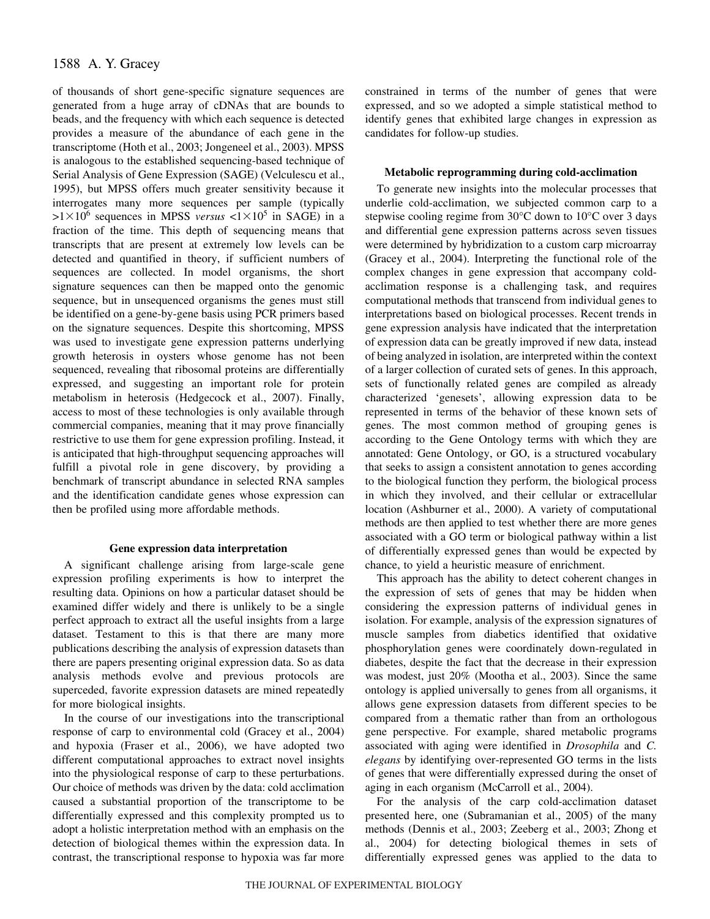of thousands of short gene-specific signature sequences are generated from a huge array of cDNAs that are bounds to beads, and the frequency with which each sequence is detected provides a measure of the abundance of each gene in the transcriptome (Hoth et al., 2003; Jongeneel et al., 2003). MPSS is analogous to the established sequencing-based technique of Serial Analysis of Gene Expression (SAGE) (Velculescu et al., 1995), but MPSS offers much greater sensitivity because it interrogates many more sequences per sample (typically  $>1\times10^6$  sequences in MPSS *versus* <1 $\times10^5$  in SAGE) in a fraction of the time. This depth of sequencing means that transcripts that are present at extremely low levels can be detected and quantified in theory, if sufficient numbers of sequences are collected. In model organisms, the short signature sequences can then be mapped onto the genomic sequence, but in unsequenced organisms the genes must still be identified on a gene-by-gene basis using PCR primers based on the signature sequences. Despite this shortcoming, MPSS was used to investigate gene expression patterns underlying growth heterosis in oysters whose genome has not been sequenced, revealing that ribosomal proteins are differentially expressed, and suggesting an important role for protein metabolism in heterosis (Hedgecock et al., 2007). Finally, access to most of these technologies is only available through commercial companies, meaning that it may prove financially restrictive to use them for gene expression profiling. Instead, it is anticipated that high-throughput sequencing approaches will fulfill a pivotal role in gene discovery, by providing a benchmark of transcript abundance in selected RNA samples and the identification candidate genes whose expression can then be profiled using more affordable methods.

#### **Gene expression data interpretation**

A significant challenge arising from large-scale gene expression profiling experiments is how to interpret the resulting data. Opinions on how a particular dataset should be examined differ widely and there is unlikely to be a single perfect approach to extract all the useful insights from a large dataset. Testament to this is that there are many more publications describing the analysis of expression datasets than there are papers presenting original expression data. So as data analysis methods evolve and previous protocols are superceded, favorite expression datasets are mined repeatedly for more biological insights.

In the course of our investigations into the transcriptional response of carp to environmental cold (Gracey et al., 2004) and hypoxia (Fraser et al., 2006), we have adopted two different computational approaches to extract novel insights into the physiological response of carp to these perturbations. Our choice of methods was driven by the data: cold acclimation caused a substantial proportion of the transcriptome to be differentially expressed and this complexity prompted us to adopt a holistic interpretation method with an emphasis on the detection of biological themes within the expression data. In contrast, the transcriptional response to hypoxia was far more constrained in terms of the number of genes that were expressed, and so we adopted a simple statistical method to identify genes that exhibited large changes in expression as candidates for follow-up studies.

## **Metabolic reprogramming during cold-acclimation**

To generate new insights into the molecular processes that underlie cold-acclimation, we subjected common carp to a stepwise cooling regime from 30°C down to 10°C over 3 days and differential gene expression patterns across seven tissues were determined by hybridization to a custom carp microarray (Gracey et al., 2004). Interpreting the functional role of the complex changes in gene expression that accompany coldacclimation response is a challenging task, and requires computational methods that transcend from individual genes to interpretations based on biological processes. Recent trends in gene expression analysis have indicated that the interpretation of expression data can be greatly improved if new data, instead of being analyzed in isolation, are interpreted within the context of a larger collection of curated sets of genes. In this approach, sets of functionally related genes are compiled as already characterized 'genesets', allowing expression data to be represented in terms of the behavior of these known sets of genes. The most common method of grouping genes is according to the Gene Ontology terms with which they are annotated: Gene Ontology, or GO, is a structured vocabulary that seeks to assign a consistent annotation to genes according to the biological function they perform, the biological process in which they involved, and their cellular or extracellular location (Ashburner et al., 2000). A variety of computational methods are then applied to test whether there are more genes associated with a GO term or biological pathway within a list of differentially expressed genes than would be expected by chance, to yield a heuristic measure of enrichment.

This approach has the ability to detect coherent changes in the expression of sets of genes that may be hidden when considering the expression patterns of individual genes in isolation. For example, analysis of the expression signatures of muscle samples from diabetics identified that oxidative phosphorylation genes were coordinately down-regulated in diabetes, despite the fact that the decrease in their expression was modest, just 20% (Mootha et al., 2003). Since the same ontology is applied universally to genes from all organisms, it allows gene expression datasets from different species to be compared from a thematic rather than from an orthologous gene perspective. For example, shared metabolic programs associated with aging were identified in *Drosophila* and *C. elegans* by identifying over-represented GO terms in the lists of genes that were differentially expressed during the onset of aging in each organism (McCarroll et al., 2004).

For the analysis of the carp cold-acclimation dataset presented here, one (Subramanian et al., 2005) of the many methods (Dennis et al., 2003; Zeeberg et al., 2003; Zhong et al., 2004) for detecting biological themes in sets of differentially expressed genes was applied to the data to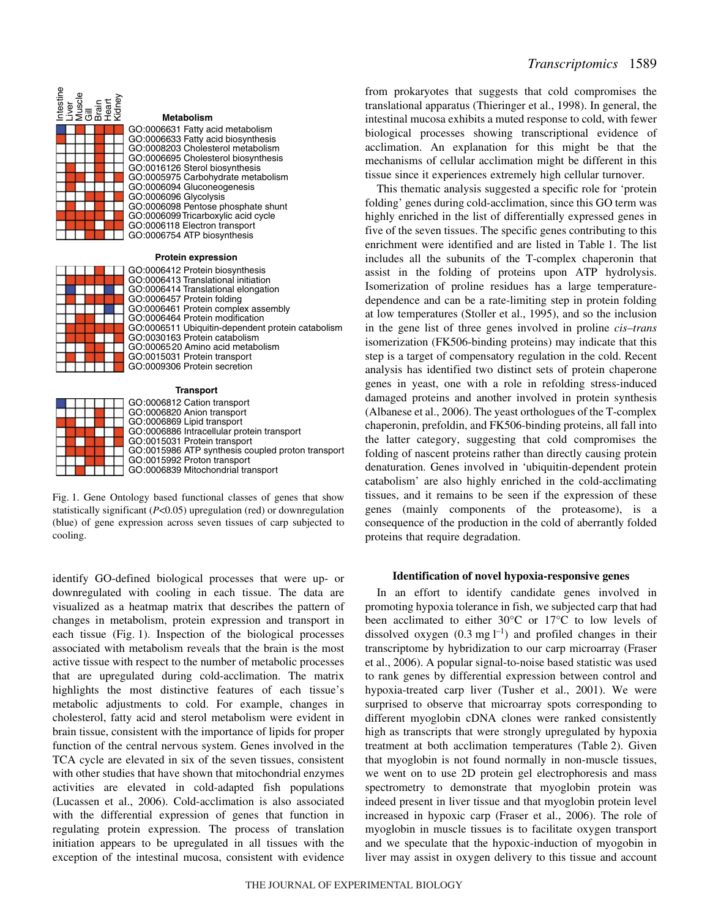

GO:0006631 Fatty acid metabolism GO:0006633 Fatty acid biosynthesis GO:0008203 Cholesterol metabolism GO:0006695 Cholesterol biosynthesis GO:0016126 Sterol biosynthesis GO:0005975 Carbohydrate metabolism GO:0006094 Gluconeogenesis GO:0006096 Glycolysis GO:0006098 Pentose phosphate shunt GO:0006099Tricarboxylic acid cycle **Metabolism**

**Protein expression**

| LINICIII ANICSSINII |  |  |  |  |                                                   |  |  |  |
|---------------------|--|--|--|--|---------------------------------------------------|--|--|--|
|                     |  |  |  |  | GO:0006412 Protein biosynthesis                   |  |  |  |
|                     |  |  |  |  | GO:0006413 Translational initiation               |  |  |  |
|                     |  |  |  |  | GO:0006414 Translational elongation               |  |  |  |
|                     |  |  |  |  | GO:0006457 Protein folding                        |  |  |  |
|                     |  |  |  |  | GO:0006461 Protein complex assembly               |  |  |  |
|                     |  |  |  |  | GO:0006464 Protein modification                   |  |  |  |
|                     |  |  |  |  | GO:0006511 Ubiquitin-dependent protein catabolism |  |  |  |
|                     |  |  |  |  | GO:0030163 Protein catabolism                     |  |  |  |
|                     |  |  |  |  | GO:0006520 Amino acid metabolism                  |  |  |  |
|                     |  |  |  |  | GO:0015031 Protein transport                      |  |  |  |
|                     |  |  |  |  | GO:0009306 Protein secretion                      |  |  |  |
|                     |  |  |  |  |                                                   |  |  |  |

**Transport**



Fig. 1. Gene Ontology based functional classes of genes that show statistically significant (*P*<0.05) upregulation (red) or downregulation (blue) of gene expression across seven tissues of carp subjected to cooling.

identify GO-defined biological processes that were up- or downregulated with cooling in each tissue. The data are visualized as a heatmap matrix that describes the pattern of changes in metabolism, protein expression and transport in each tissue  $(Fig. 1)$ . Inspection of the biological processes associated with metabolism reveals that the brain is the most active tissue with respect to the number of metabolic processes that are upregulated during cold-acclimation. The matrix highlights the most distinctive features of each tissue's metabolic adjustments to cold. For example, changes in cholesterol, fatty acid and sterol metabolism were evident in brain tissue, consistent with the importance of lipids for proper function of the central nervous system. Genes involved in the TCA cycle are elevated in six of the seven tissues, consistent with other studies that have shown that mitochondrial enzymes activities are elevated in cold-adapted fish populations (Lucassen et al., 2006). Cold-acclimation is also associated with the differential expression of genes that function in regulating protein expression. The process of translation initiation appears to be upregulated in all tissues with the exception of the intestinal mucosa, consistent with evidence

from prokaryotes that suggests that cold compromises the translational apparatus (Thieringer et al., 1998). In general, the intestinal mucosa exhibits a muted response to cold, with fewer biological processes showing transcriptional evidence of acclimation. An explanation for this might be that the mechanisms of cellular acclimation might be different in this tissue since it experiences extremely high cellular turnover.

This thematic analysis suggested a specific role for 'protein folding' genes during cold-acclimation, since this GO term was highly enriched in the list of differentially expressed genes in five of the seven tissues. The specific genes contributing to this enrichment were identified and are listed in Table 1. The list includes all the subunits of the T-complex chaperonin that assist in the folding of proteins upon ATP hydrolysis. Isomerization of proline residues has a large temperaturedependence and can be a rate-limiting step in protein folding at low temperatures (Stoller et al., 1995), and so the inclusion in the gene list of three genes involved in proline *cis–trans* isomerization (FK506-binding proteins) may indicate that this step is a target of compensatory regulation in the cold. Recent analysis has identified two distinct sets of protein chaperone genes in yeast, one with a role in refolding stress-induced damaged proteins and another involved in protein synthesis (Albanese et al., 2006). The yeast orthologues of the T-complex chaperonin, prefoldin, and FK506-binding proteins, all fall into the latter category, suggesting that cold compromises the folding of nascent proteins rather than directly causing protein denaturation. Genes involved in 'ubiquitin-dependent protein catabolism' are also highly enriched in the cold-acclimating tissues, and it remains to be seen if the expression of these genes (mainly components of the proteasome), is a consequence of the production in the cold of aberrantly folded proteins that require degradation.

#### **Identification of novel hypoxia-responsive genes**

In an effort to identify candidate genes involved in promoting hypoxia tolerance in fish, we subjected carp that had been acclimated to either 30°C or 17°C to low levels of dissolved oxygen  $(0.3 \text{ mg l}^{-1})$  and profiled changes in their transcriptome by hybridization to our carp microarray (Fraser et al., 2006). A popular signal-to-noise based statistic was used to rank genes by differential expression between control and hypoxia-treated carp liver (Tusher et al., 2001). We were surprised to observe that microarray spots corresponding to different myoglobin cDNA clones were ranked consistently high as transcripts that were strongly upregulated by hypoxia treatment at both acclimation temperatures (Table 2). Given that myoglobin is not found normally in non-muscle tissues, we went on to use 2D protein gel electrophoresis and mass spectrometry to demonstrate that myoglobin protein was indeed present in liver tissue and that myoglobin protein level increased in hypoxic carp (Fraser et al., 2006). The role of myoglobin in muscle tissues is to facilitate oxygen transport and we speculate that the hypoxic-induction of myogobin in liver may assist in oxygen delivery to this tissue and account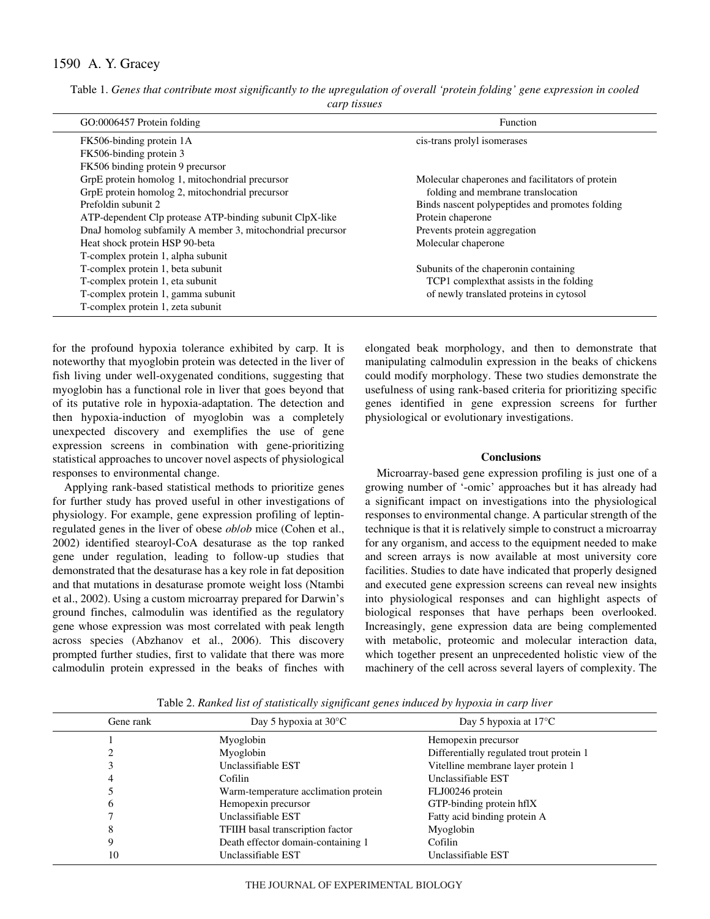# 1590 A. Y. Gracey

| GO:0006457 Protein folding                                 | Function                                         |
|------------------------------------------------------------|--------------------------------------------------|
| FK506-binding protein 1A                                   | cis-trans prolyl isomerases                      |
| FK506-binding protein 3                                    |                                                  |
| FK506 binding protein 9 precursor                          |                                                  |
| GrpE protein homolog 1, mitochondrial precursor            | Molecular chaperones and facilitators of protein |
| GrpE protein homolog 2, mitochondrial precursor            | folding and membrane translocation               |
| Prefoldin subunit 2                                        | Binds nascent polypeptides and promotes folding  |
| ATP-dependent Clp protease ATP-binding subunit ClpX-like   | Protein chaperone                                |
| DnaJ homolog subfamily A member 3, mitochondrial precursor | Prevents protein aggregation                     |
| Heat shock protein HSP 90-beta                             | Molecular chaperone                              |
| T-complex protein 1, alpha subunit                         |                                                  |
| T-complex protein 1, beta subunit                          | Subunits of the chaperonin containing            |
| T-complex protein 1, eta subunit                           | TCP1 complex that assists in the folding         |
| T-complex protein 1, gamma subunit                         | of newly translated proteins in cytosol          |
| T-complex protein 1, zeta subunit                          |                                                  |

Table 1. Genes that contribute most significantly to the upregulation of overall 'protein folding' gene expression in cooled *carp tissues*

for the profound hypoxia tolerance exhibited by carp. It is noteworthy that myoglobin protein was detected in the liver of fish living under well-oxygenated conditions, suggesting that myoglobin has a functional role in liver that goes beyond that of its putative role in hypoxia-adaptation. The detection and then hypoxia-induction of myoglobin was a completely unexpected discovery and exemplifies the use of gene expression screens in combination with gene-prioritizing statistical approaches to uncover novel aspects of physiological responses to environmental change.

Applying rank-based statistical methods to prioritize genes for further study has proved useful in other investigations of physiology. For example, gene expression profiling of leptinregulated genes in the liver of obese *ob*/*ob* mice (Cohen et al., 2002) identified stearoyl-CoA desaturase as the top ranked gene under regulation, leading to follow-up studies that demonstrated that the desaturase has a key role in fat deposition and that mutations in desaturase promote weight loss (Ntambi et al., 2002). Using a custom microarray prepared for Darwin's ground finches, calmodulin was identified as the regulatory gene whose expression was most correlated with peak length across species (Abzhanov et al., 2006). This discovery prompted further studies, first to validate that there was more calmodulin protein expressed in the beaks of finches with

elongated beak morphology, and then to demonstrate that manipulating calmodulin expression in the beaks of chickens could modify morphology. These two studies demonstrate the usefulness of using rank-based criteria for prioritizing specific genes identified in gene expression screens for further physiological or evolutionary investigations.

#### **Conclusions**

Microarray-based gene expression profiling is just one of a growing number of '-omic' approaches but it has already had a significant impact on investigations into the physiological responses to environmental change. A particular strength of the technique is that it is relatively simple to construct a microarray for any organism, and access to the equipment needed to make and screen arrays is now available at most university core facilities. Studies to date have indicated that properly designed and executed gene expression screens can reveal new insights into physiological responses and can highlight aspects of biological responses that have perhaps been overlooked. Increasingly, gene expression data are being complemented with metabolic, proteomic and molecular interaction data, which together present an unprecedented holistic view of the machinery of the cell across several layers of complexity. The

| Gene rank | Day 5 hypoxia at $30^{\circ}$ C      | Day 5 hypoxia at $17^{\circ}$ C          |
|-----------|--------------------------------------|------------------------------------------|
|           | Myoglobin                            | Hemopexin precursor                      |
|           | Myoglobin                            | Differentially regulated trout protein 1 |
|           | Unclassifiable EST                   | Vitelline membrane layer protein 1       |
|           | Cofilin                              | Unclassifiable EST                       |
|           | Warm-temperature acclimation protein | FLJ00246 protein                         |
| b         | Hemopexin precursor                  | GTP-binding protein hflX                 |
|           | Unclassifiable EST                   | Fatty acid binding protein A             |
| 8         | TFIIH basal transcription factor     | Myoglobin                                |
| 9         | Death effector domain-containing 1   | Cofilin                                  |
| 10        | Unclassifiable EST                   | Unclassifiable EST                       |

Table 2. *Ranked list of statistically significant genes induced by hypoxia in carp liver*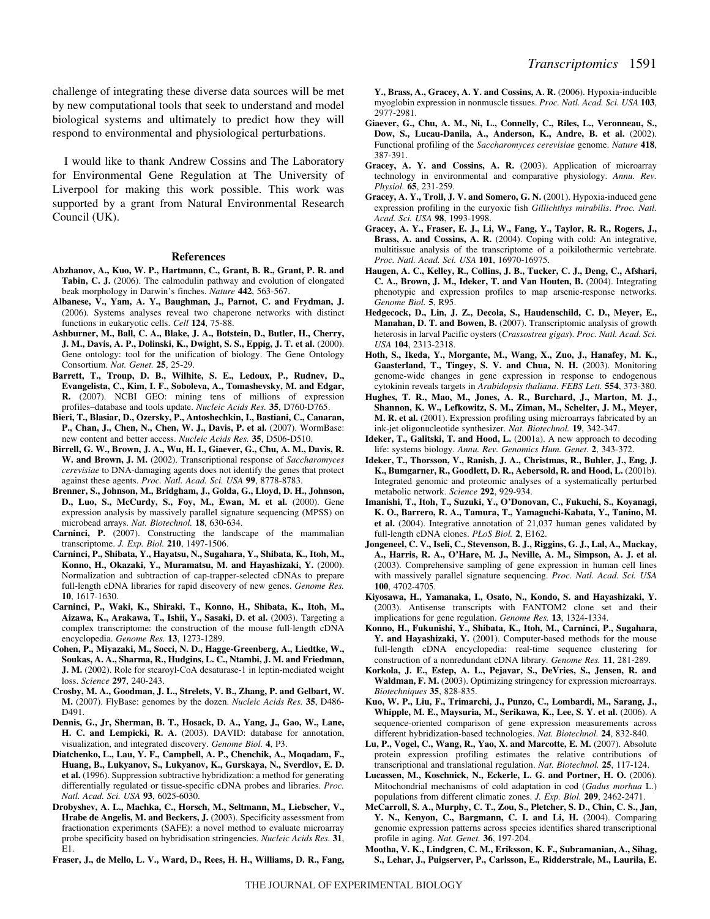challenge of integrating these diverse data sources will be met by new computational tools that seek to understand and model biological systems and ultimately to predict how they will respond to environmental and physiological perturbations.

I would like to thank Andrew Cossins and The Laboratory for Environmental Gene Regulation at The University of Liverpool for making this work possible. This work was supported by a grant from Natural Environmental Research Council (UK).

#### **References**

- **Abzhanov, A., Kuo, W. P., Hartmann, C., Grant, B. R., Grant, P. R. and Tabin, C. J.** (2006). The calmodulin pathway and evolution of elongated beak morphology in Darwin's finches. *Nature* **442**, 563-567.
- **Albanese, V., Yam, A. Y., Baughman, J., Parnot, C. and Frydman, J.** (2006). Systems analyses reveal two chaperone networks with distinct functions in eukaryotic cells. *Cell* **124**, 75-88.
- **Ashburner, M., Ball, C. A., Blake, J. A., Botstein, D., Butler, H., Cherry, J. M., Davis, A. P., Dolinski, K., Dwight, S. S., Eppig, J. T. et al.** (2000). Gene ontology: tool for the unification of biology. The Gene Ontology Consortium. *Nat. Genet.* **25**, 25-29.
- **Barrett, T., Troup, D. B., Wilhite, S. E., Ledoux, P., Rudnev, D., Evangelista, C., Kim, I. F., Soboleva, A., Tomashevsky, M. and Edgar, R.** (2007). NCBI GEO: mining tens of millions of expression profiles–database and tools update. *Nucleic Acids Res.* **35**, D760-D765.
- **Bieri, T., Blasiar, D., Ozersky, P., Antoshechkin, I., Bastiani, C., Canaran, P., Chan, J., Chen, N., Chen, W. J., Davis, P. et al.** (2007). WormBase: new content and better access. *Nucleic Acids Res.* **35**, D506-D510.
- **Birrell, G. W., Brown, J. A., Wu, H. I., Giaever, G., Chu, A. M., Davis, R. W. and Brown, J. M.** (2002). Transcriptional response of *Saccharomyces cerevisiae* to DNA-damaging agents does not identify the genes that protect against these agents. *Proc. Natl. Acad. Sci. USA* **99**, 8778-8783.
- **Brenner, S., Johnson, M., Bridgham, J., Golda, G., Lloyd, D. H., Johnson, D., Luo, S., McCurdy, S., Foy, M., Ewan, M. et al.** (2000). Gene expression analysis by massively parallel signature sequencing (MPSS) on microbead arrays. *Nat. Biotechnol.* **18**, 630-634.
- **Carninci, P.** (2007). Constructing the landscape of the mammalian transcriptome. *J. Exp. Biol.* **210**, 1497-1506.
- **Carninci, P., Shibata, Y., Hayatsu, N., Sugahara, Y., Shibata, K., Itoh, M., Konno, H., Okazaki, Y., Muramatsu, M. and Hayashizaki, Y.** (2000). Normalization and subtraction of cap-trapper-selected cDNAs to prepare full-length cDNA libraries for rapid discovery of new genes. *Genome Res.* **10**, 1617-1630.
- **Carninci, P., Waki, K., Shiraki, T., Konno, H., Shibata, K., Itoh, M., Aizawa, K., Arakawa, T., Ishii, Y., Sasaki, D. et al.** (2003). Targeting a complex transcriptome: the construction of the mouse full-length cDNA encyclopedia. *Genome Res.* **13**, 1273-1289.
- **Cohen, P., Miyazaki, M., Socci, N. D., Hagge-Greenberg, A., Liedtke, W., Soukas, A. A., Sharma, R., Hudgins, L. C., Ntambi, J. M. and Friedman, J. M.** (2002). Role for stearoyl-CoA desaturase-1 in leptin-mediated weight loss. *Science* **297**, 240-243.
- **Crosby, M. A., Goodman, J. L., Strelets, V. B., Zhang, P. and Gelbart, W. M.** (2007). FlyBase: genomes by the dozen. *Nucleic Acids Res.* **35**, D486- D491.
- **Dennis, G., Jr, Sherman, B. T., Hosack, D. A., Yang, J., Gao, W., Lane, H. C. and Lempicki, R. A.** (2003). DAVID: database for annotation, visualization, and integrated discovery. *Genome Biol.* **4**, P3.
- **Diatchenko, L., Lau, Y. F., Campbell, A. P., Chenchik, A., Moqadam, F., Huang, B., Lukyanov, S., Lukyanov, K., Gurskaya, N., Sverdlov, E. D. et al.** (1996). Suppression subtractive hybridization: a method for generating differentially regulated or tissue-specific cDNA probes and libraries. *Proc. Natl. Acad. Sci. USA* **93**, 6025-6030.
- **Drobyshev, A. L., Machka, C., Horsch, M., Seltmann, M., Liebscher, V., Hrabe de Angelis, M. and Beckers, J.** (2003). Specificity assessment from fractionation experiments (SAFE): a novel method to evaluate microarray probe specificity based on hybridisation stringencies. *Nucleic Acids Res.* **31**, E1.

**Fraser, J., de Mello, L. V., Ward, D., Rees, H. H., Williams, D. R., Fang,**

**Y., Brass, A., Gracey, A. Y. and Cossins, A. R.** (2006). Hypoxia-inducible myoglobin expression in nonmuscle tissues. *Proc. Natl. Acad. Sci. USA* **103**, 2977-2981.

- **Giaever, G., Chu, A. M., Ni, L., Connelly, C., Riles, L., Veronneau, S., Dow, S., Lucau-Danila, A., Anderson, K., Andre, B. et al.** (2002). Functional profiling of the *Saccharomyces cerevisiae* genome. *Nature* **418**, 387-391.
- **Gracey, A. Y. and Cossins, A. R.** (2003). Application of microarray technology in environmental and comparative physiology. *Annu. Rev. Physiol.* **65**, 231-259.
- **Gracey, A. Y., Troll, J. V. and Somero, G. N.** (2001). Hypoxia-induced gene expression profiling in the euryoxic fish *Gillichthys mirabilis*. *Proc. Natl. Acad. Sci. USA* **98**, 1993-1998.
- **Gracey, A. Y., Fraser, E. J., Li, W., Fang, Y., Taylor, R. R., Rogers, J., Brass, A. and Cossins, A. R.** (2004). Coping with cold: An integrative, multitissue analysis of the transcriptome of a poikilothermic vertebrate. *Proc. Natl. Acad. Sci. USA* **101**, 16970-16975.
- **Haugen, A. C., Kelley, R., Collins, J. B., Tucker, C. J., Deng, C., Afshari, C. A., Brown, J. M., Ideker, T. and Van Houten, B.** (2004). Integrating phenotypic and expression profiles to map arsenic-response networks. *Genome Biol.* **5**, R95.
- **Hedgecock, D., Lin, J. Z., Decola, S., Haudenschild, C. D., Meyer, E., Manahan, D. T. and Bowen, B.** (2007). Transcriptomic analysis of growth heterosis in larval Pacific oysters (*Crassostrea gigas*). *Proc. Natl. Acad. Sci. USA* **104**, 2313-2318.
- **Hoth, S., Ikeda, Y., Morgante, M., Wang, X., Zuo, J., Hanafey, M. K., Gaasterland, T., Tingey, S. V. and Chua, N. H.** (2003). Monitoring genome-wide changes in gene expression in response to endogenous cytokinin reveals targets in *Arabidopsis thaliana*. *FEBS Lett.* **554**, 373-380.
- **Hughes, T. R., Mao, M., Jones, A. R., Burchard, J., Marton, M. J., Shannon, K. W., Lefkowitz, S. M., Ziman, M., Schelter, J. M., Meyer, M. R. et al.** (2001). Expression profiling using microarrays fabricated by an ink-jet oligonucleotide synthesizer. *Nat. Biotechnol.* **19**, 342-347.
- **Ideker, T., Galitski, T. and Hood, L.** (2001a). A new approach to decoding life: systems biology. *Annu. Rev. Genomics Hum. Genet*. **2**, 343-372.
- **Ideker, T., Thorsson, V., Ranish, J. A., Christmas, R., Buhler, J., Eng, J. K., Bumgarner, R., Goodlett, D. R., Aebersold, R. and Hood, L.** (2001b). Integrated genomic and proteomic analyses of a systematically perturbed metabolic network. *Science* **292**, 929-934.
- **Imanishi, T., Itoh, T., Suzuki, Y., O'Donovan, C., Fukuchi, S., Koyanagi, K. O., Barrero, R. A., Tamura, T., Yamaguchi-Kabata, Y., Tanino, M. et al.** (2004). Integrative annotation of 21,037 human genes validated by full-length cDNA clones. *PLoS Biol.* **2**, E162.
- **Jongeneel, C. V., Iseli, C., Stevenson, B. J., Riggins, G. J., Lal, A., Mackay, A., Harris, R. A., O'Hare, M. J., Neville, A. M., Simpson, A. J. et al.** (2003). Comprehensive sampling of gene expression in human cell lines with massively parallel signature sequencing. *Proc. Natl. Acad. Sci. USA* **100**, 4702-4705.
- **Kiyosawa, H., Yamanaka, I., Osato, N., Kondo, S. and Hayashizaki, Y.** (2003). Antisense transcripts with FANTOM2 clone set and their implications for gene regulation. *Genome Res.* **13**, 1324-1334.
- **Konno, H., Fukunishi, Y., Shibata, K., Itoh, M., Carninci, P., Sugahara, Y. and Hayashizaki, Y.** (2001). Computer-based methods for the mouse full-length cDNA encyclopedia: real-time sequence clustering for construction of a nonredundant cDNA library. *Genome Res.* **11**, 281-289.
- **Korkola, J. E., Estep, A. L., Pejavar, S., DeVries, S., Jensen, R. and Waldman, F. M.** (2003). Optimizing stringency for expression microarrays. *Biotechniques* **35**, 828-835.
- **Kuo, W. P., Liu, F., Trimarchi, J., Punzo, C., Lombardi, M., Sarang, J., Whipple, M. E., Maysuria, M., Serikawa, K., Lee, S. Y. et al.** (2006). A sequence-oriented comparison of gene expression measurements across different hybridization-based technologies. *Nat. Biotechnol.* **24**, 832-840.
- **Lu, P., Vogel, C., Wang, R., Yao, X. and Marcotte, E. M.** (2007). Absolute protein expression profiling estimates the relative contributions of transcriptional and translational regulation. *Nat. Biotechnol.* **25**, 117-124.
- **Lucassen, M., Koschnick, N., Eckerle, L. G. and Portner, H. O.** (2006). Mitochondrial mechanisms of cold adaptation in cod (*Gadus morhua* L.) populations from different climatic zones. *J. Exp. Biol.* **209**, 2462-2471.
- **McCarroll, S. A., Murphy, C. T., Zou, S., Pletcher, S. D., Chin, C. S., Jan, Y. N., Kenyon, C., Bargmann, C. I. and Li, H.** (2004). Comparing genomic expression patterns across species identifies shared transcriptional profile in aging. *Nat. Genet.* **36**, 197-204.
- **Mootha, V. K., Lindgren, C. M., Eriksson, K. F., Subramanian, A., Sihag, S., Lehar, J., Puigserver, P., Carlsson, E., Ridderstrale, M., Laurila, E.**